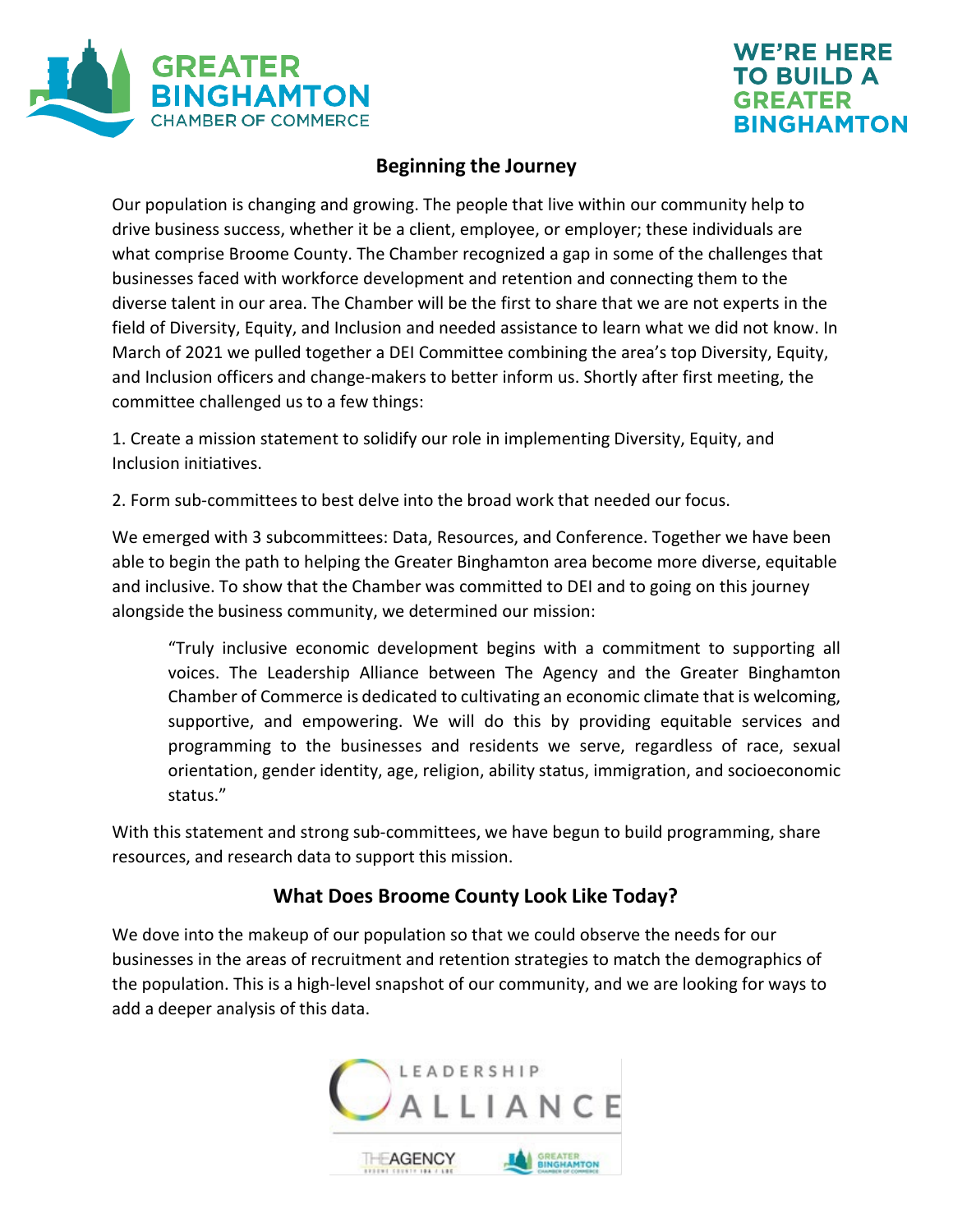



## **Beginning the Journey**

Our population is changing and growing. The people that live within our community help to drive business success, whether it be a client, employee, or employer; these individuals are what comprise Broome County. The Chamber recognized a gap in some of the challenges that businesses faced with workforce development and retention and connecting them to the diverse talent in our area. The Chamber will be the first to share that we are not experts in the field of Diversity, Equity, and Inclusion and needed assistance to learn what we did not know. In March of 2021 we pulled together a DEI Committee combining the area's top Diversity, Equity, and Inclusion officers and change-makers to better inform us. Shortly after first meeting, the committee challenged us to a few things:

1. Create a mission statement to solidify our role in implementing Diversity, Equity, and Inclusion initiatives.

2. Form sub-committeesto best delve into the broad work that needed our focus.

We emerged with 3 subcommittees: Data, Resources, and Conference. Together we have been able to begin the path to helping the Greater Binghamton area become more diverse, equitable and inclusive. To show that the Chamber was committed to DEI and to going on this journey alongside the business community, we determined our mission:

"Truly inclusive economic development begins with a commitment to supporting all voices. The Leadership Alliance between The Agency and the Greater Binghamton Chamber of Commerce is dedicated to cultivating an economic climate that is welcoming, supportive, and empowering. We will do this by providing equitable services and programming to the businesses and residents we serve, regardless of race, sexual orientation, gender identity, age, religion, ability status, immigration, and socioeconomic status."

With this statement and strong sub-committees, we have begun to build programming, share resources, and research data to support this mission.

## **What Does Broome County Look Like Today?**

We dove into the makeup of our population so that we could observe the needs for our businesses in the areas of recruitment and retention strategies to match the demographics of the population. This is a high-level snapshot of our community, and we are looking for ways to add a deeper analysis of this data.

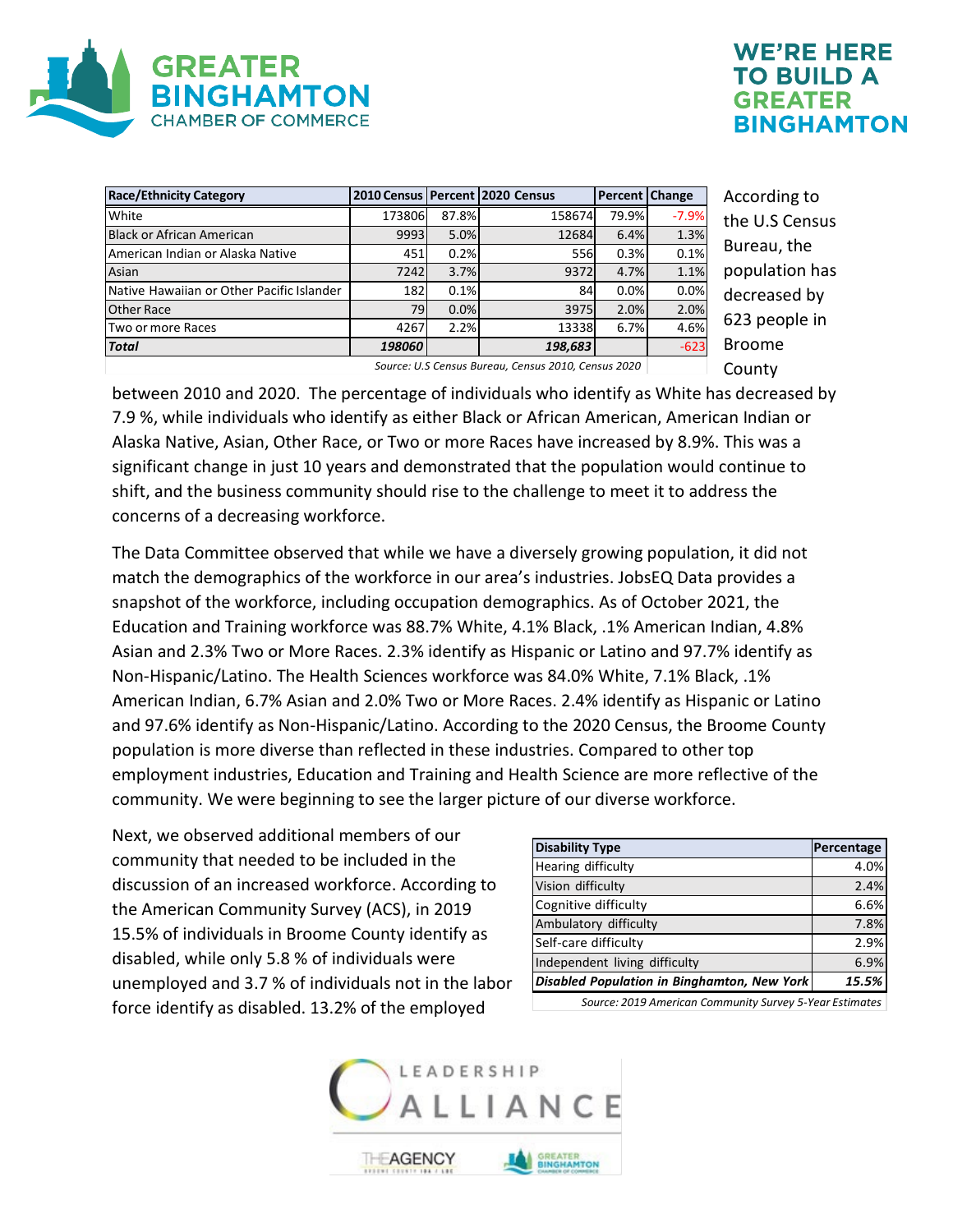

## WE'RE HERE **TO BUILD A GREATER BINGHAMTON**

| <b>Race/Ethnicity Category</b>                                                                                                                                                                                                                              |        |       | 2010 Census   Percent   2020 Census | Percent Change |         |
|-------------------------------------------------------------------------------------------------------------------------------------------------------------------------------------------------------------------------------------------------------------|--------|-------|-------------------------------------|----------------|---------|
| White                                                                                                                                                                                                                                                       | 173806 | 87.8% | 158674                              | 79.9%          | $-7.9%$ |
| <b>Black or African American</b>                                                                                                                                                                                                                            | 9993   | 5.0%  | 12684                               | 6.4%           | 1.3%    |
| lAmerican Indian or Alaska Native                                                                                                                                                                                                                           | 451    | 0.2%  | 556                                 | 0.3%           | 0.1%    |
| Asian                                                                                                                                                                                                                                                       | 7242   | 3.7%  | 9372                                | 4.7%           | 1.1%    |
| Native Hawaiian or Other Pacific Islander                                                                                                                                                                                                                   | 182    | 0.1%  | 84                                  | 0.0%           | 0.0%    |
| <b>Other Race</b>                                                                                                                                                                                                                                           | 79     | 0.0%  | 3975                                | 2.0%           | 2.0%    |
| Two or more Races                                                                                                                                                                                                                                           | 4267   | 2.2%  | 13338                               | 6.7%           | 4.6%    |
| <b>Total</b>                                                                                                                                                                                                                                                | 198060 |       | 198,683                             |                | $-623$  |
| $C_{2}$ $C_{3}$ $C_{4}$ $C_{5}$ $C_{6}$ $C_{7}$ $C_{8}$ $C_{9}$ $C_{10}$ $C_{11}$ $C_{12}$ $C_{13}$ $C_{14}$ $C_{15}$ $C_{16}$ $C_{17}$ $C_{18}$ $C_{19}$ $C_{10}$ $C_{11}$ $C_{12}$ $C_{13}$ $C_{14}$ $C_{15}$ $C_{16}$ $C_{17}$ $C_{18}$ $C_{19}$ $C_{10$ |        |       |                                     |                |         |

*Source: U.S Census Bureau, Census 2010, Census 2020*

According to he U.S Census Bureau, the population has decreased by 623 people in Broome County

between 2010 and 2020. The percentage of individuals who identify as White has decreased by 7.9 %, while individuals who identify as either Black or African American, American Indian or Alaska Native, Asian, Other Race, or Two or more Races have increased by 8.9%. This was a significant change in just 10 years and demonstrated that the population would continue to shift, and the business community should rise to the challenge to meet it to address the concerns of a decreasing workforce.

The Data Committee observed that while we have a diversely growing population, it did not match the demographics of the workforce in our area's industries. JobsEQ Data provides a snapshot of the workforce, including occupation demographics. As of October 2021, the Education and Training workforce was 88.7% White, 4.1% Black, .1% American Indian, 4.8% Asian and 2.3% Two or More Races. 2.3% identify as Hispanic or Latino and 97.7% identify as Non-Hispanic/Latino. The Health Sciences workforce was 84.0% White, 7.1% Black, .1% American Indian, 6.7% Asian and 2.0% Two or More Races. 2.4% identify as Hispanic or Latino and 97.6% identify as Non-Hispanic/Latino. According to the 2020 Census, the Broome County population is more diverse than reflected in these industries. Compared to other top employment industries, Education and Training and Health Science are more reflective of the community. We were beginning to see the larger picture of our diverse workforce.

Next, we observed additional members of our community that needed to be included in the discussion of an increased workforce. According to the American Community Survey (ACS), in 2019 15.5% of individuals in Broome County identify as disabled, while only 5.8 % of individuals were unemployed and 3.7 % of individuals not in the labor force identify as disabled. 13.2% of the employed

| <b>Disability Type</b>                                   | Percentage |  |  |
|----------------------------------------------------------|------------|--|--|
| Hearing difficulty                                       | 4.0%       |  |  |
| Vision difficulty                                        | 2.4%       |  |  |
| Cognitive difficulty                                     | 6.6%       |  |  |
| Ambulatory difficulty                                    | 7.8%       |  |  |
| Self-care difficulty                                     | 2.9%       |  |  |
| Independent living difficulty                            | 6.9%       |  |  |
| Disabled Population in Binghamton, New York              | 15.5%      |  |  |
| Source: 2010 American Community Survey 5, Vear Ectimates |            |  |  |

*Source: 2019 American Community Survey 5-Year Estimates*

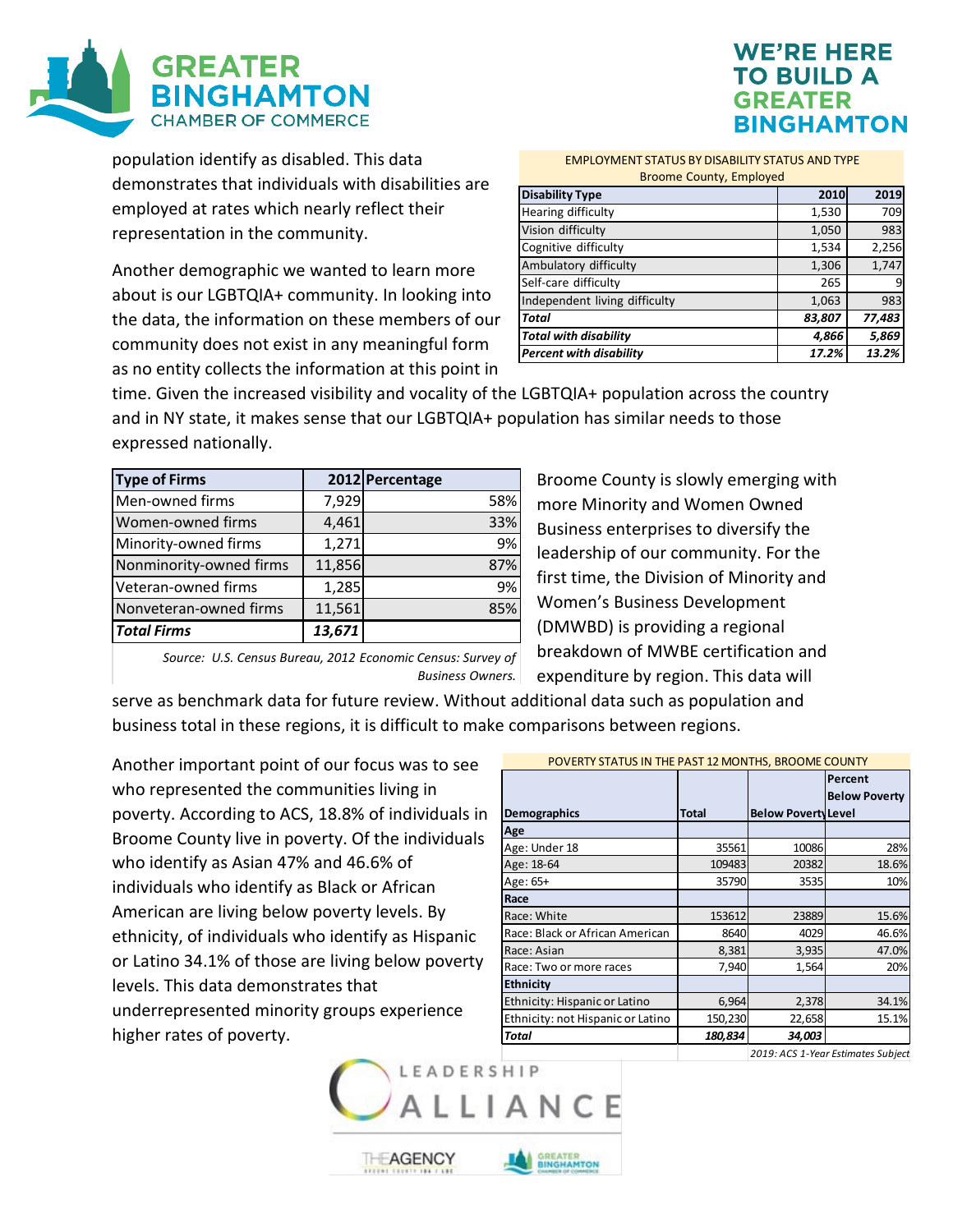

population identify as disabled. This data demonstrates that individuals with disabilities are employed at rates which nearly reflect their representation in the community.

Another demographic we wanted to learn more about is our LGBTQIA+ community. In looking into the data, the information on these members of our community does not exist in any meaningful form as no entity collects the information at this point in

## *N*E'RE HERE **TO BUILD A GREATER BINGHAMTON**

| <b>Broome County, Employed</b> |        |        |  |  |  |  |
|--------------------------------|--------|--------|--|--|--|--|
| <b>Disability Type</b>         | 2010   | 2019   |  |  |  |  |
| Hearing difficulty             | 1,530  | 709    |  |  |  |  |
| Vision difficulty              | 1,050  | 983    |  |  |  |  |
| Cognitive difficulty           | 1,534  | 2,256  |  |  |  |  |
| Ambulatory difficulty          | 1,306  | 1,747  |  |  |  |  |
| Self-care difficulty           | 265    | 9      |  |  |  |  |
| Independent living difficulty  | 1,063  | 983    |  |  |  |  |
| <b>Total</b>                   | 83,807 | 77,483 |  |  |  |  |
| <b>Total with disability</b>   | 4,866  | 5,869  |  |  |  |  |
| <b>Percent with disability</b> | 17.2%  | 13.2%  |  |  |  |  |

EMPLOYMENT STATUS BY DISABILITY STATUS AND TYPE

time. Given the increased visibility and vocality of the LGBTQIA+ population across the country and in NY state, it makes sense that our LGBTQIA+ population has similar needs to those expressed nationally.

| <b>Type of Firms</b>    |        | 2012 Percentage |
|-------------------------|--------|-----------------|
| Men-owned firms         | 7,929  | 58%             |
| Women-owned firms       | 4,461  | 33%             |
| Minority-owned firms    | 1,271  | 9%              |
| Nonminority-owned firms | 11,856 | 87%             |
| Veteran-owned firms     | 1,285  | 9%              |
| Nonveteran-owned firms  | 11,561 | 85%             |
| <b>Total Firms</b>      | 13,671 |                 |

Broome County is slowly emerging with more Minority and Women Owned Business enterprises to diversify the leadership of our community. For the first time, the Division of Minority and Women's Business Development (DMWBD) is providing a regional breakdown of MWBE certification and expenditure by region. This data will

*Source: U.S. Census Bureau, 2012 Economic Census: Survey of Business Owners.*

serve as benchmark data for future review. Without additional data such as population and business total in these regions, it is difficult to make comparisons between regions.

Another important point of our focus was to see who represented the communities living in poverty. According to ACS, 18.8% of individuals in Broome County live in poverty. Of the individuals who identify as Asian 47% and 46.6% of individuals who identify as Black or African American are living below poverty levels. By ethnicity, of individuals who identify as Hispanic or Latino 34.1% of those are living below poverty levels. This data demonstrates that underrepresented minority groups experience higher rates of poverty.

| POVERTY STATUS IN THE PAST 12 MONTHS, BROOME COUNTY |              |                                    |                                 |  |  |
|-----------------------------------------------------|--------------|------------------------------------|---------------------------------|--|--|
| Demographics                                        | <b>Total</b> | <b>Below Poverty Level</b>         | Percent<br><b>Below Poverty</b> |  |  |
| Age                                                 |              |                                    |                                 |  |  |
| Age: Under 18                                       | 35561        | 10086                              | 28%                             |  |  |
| Age: 18-64                                          | 109483       | 20382                              | 18.6%                           |  |  |
| Age: 65+                                            | 35790        | 3535                               | 10%                             |  |  |
| Race                                                |              |                                    |                                 |  |  |
| Race: White                                         | 153612       | 23889                              | 15.6%                           |  |  |
| Race: Black or African American                     | 8640         | 4029                               | 46.6%                           |  |  |
| Race: Asian                                         | 8,381        | 3,935                              | 47.0%                           |  |  |
| Race: Two or more races                             | 7,940        | 1,564                              | 20%                             |  |  |
| <b>Ethnicity</b>                                    |              |                                    |                                 |  |  |
| Ethnicity: Hispanic or Latino                       | 6,964        | 2,378                              | 34.1%                           |  |  |
| Ethnicity: not Hispanic or Latino                   | 150,230      | 22,658                             | 15.1%                           |  |  |
| Total                                               | 180,834      | 34,003                             |                                 |  |  |
|                                                     |              | 2019: ACS 1-Year Estimates Subject |                                 |  |  |



**AGENCY**